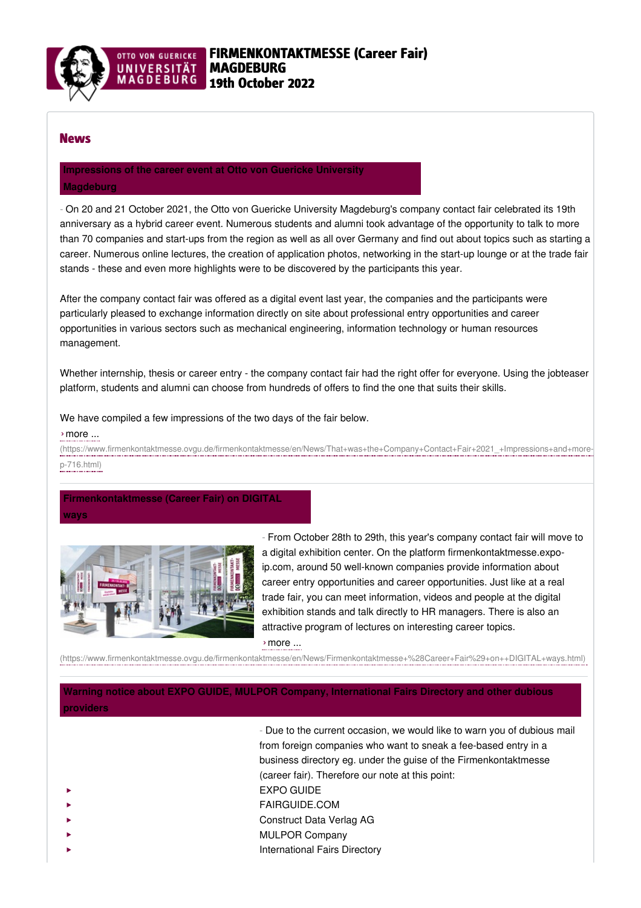

### News

## **[Impressions](https://www.firmenkontaktmesse.ovgu.de/firmenkontaktmesse/en/News/That+was+the+Company+Contact+Fair+2021_+Impressions+and+more-p-716.html) of the career event at Otto von Guericke University**

### **Magdeburg**

- On 20 and 21 October 2021, the Otto von Guericke University Magdeburg's company contact fair celebrated its 19th anniversary as a hybrid career event. Numerous students and alumni took advantage of the opportunity to talk to more than 70 companies and start-ups from the region as well as all over Germany and find out about topics such as starting a career. Numerous online lectures, the creation of application photos, networking in the start-up lounge or at the trade fair stands - these and even more highlights were to be discovered by the participants this year.

After the company contact fair was offered as a digital event last year, the companies and the participants were particularly pleased to exchange information directly on site about professional entry opportunities and career opportunities in various sectors such as mechanical engineering, information technology or human resources management.

Whether internship, thesis or career entry - the company contact fair had the right offer for everyone. Using the jobteaser platform, students and alumni can choose from hundreds of offers to find the one that suits their skills.

### We have compiled a few impressions of the two days of the fair below.

### ›more ...

[\(https://www.firmenkontaktmesse.ovgu.de/firmenkontaktmesse/en/News/That+was+the+Company+Contact+Fair+2021\\_+Impressions+and+more-](https://www.firmenkontaktmesse.ovgu.de/firmenkontaktmesse/en/News/That+was+the+Company+Contact+Fair+2021_+Impressions+and+more-p-716.html)

### p-716.html)

# **[Firmenkontaktmesse](https://www.firmenkontaktmesse.ovgu.de/firmenkontaktmesse/en/News/Firmenkontaktmesse+%28Career+Fair%29+on++DIGITAL+ways.html) (Career Fair) on DIGITAL**

**ways**



- From October 28th to 29th, this year's company contact fair will move to a digital exhibition center. On the platform firmenkontaktmesse.expoip.com, around 50 well-known companies provide information about career entry opportunities and career opportunities. Just like at a real trade fair, you can meet information, videos and people at the digital exhibition stands and talk directly to HR managers. There is also an attractive program of lectures on interesting career topics.

## ›more ...

[\(https://www.firmenkontaktmesse.ovgu.de/firmenkontaktmesse/en/News/Firmenkontaktmesse+%28Career+Fair%29+on++DIGITAL+ways.html\)](https://www.firmenkontaktmesse.ovgu.de/firmenkontaktmesse/en/News/Firmenkontaktmesse+%28Career+Fair%29+on++DIGITAL+ways.html)

## **Warning notice about EXPO GUIDE, MULPOR Company, [International](https://www.firmenkontaktmesse.ovgu.de/firmenkontaktmesse/en/News/Warning+notice.html) Fairs Directory and other dubious providers**

- Due to the current occasion, we would like to warn you of dubious mail from foreign companies who want to sneak a fee-based entry in a business directory eg. under the guise of the Firmenkontaktmesse (career fair). Therefore our note at this point: EXPO GUIDE FAIRGUIDE.COM Construct Data Verlag AG MULPOR Company International Fairs Directory ‣ ‣ ‣ ‣ ‣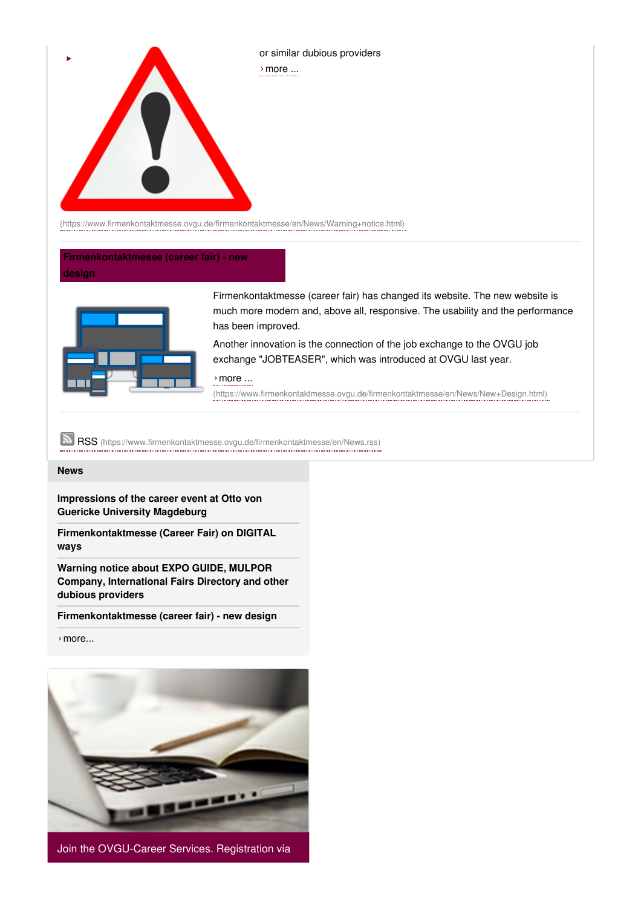

[\(https://www.firmenkontaktmesse.ovgu.de/firmenkontaktmesse/en/News/Warning+notice.html\)](https://www.firmenkontaktmesse.ovgu.de/firmenkontaktmesse/en/News/Warning+notice.html)

### **[Firmenkontaktmesse](https://www.firmenkontaktmesse.ovgu.de/firmenkontaktmesse/en/News/New+Design.html) (career fair) - new design**



Firmenkontaktmesse (career fair) has changed its website. The new website is much more modern and, above all, responsive. The usability and the performance has been improved.

Another innovation is the connection of the job exchange to the OVGU job exchange "JOBTEASER", which was introduced at OVGU last year.

›more ...

[\(https://www.firmenkontaktmesse.ovgu.de/firmenkontaktmesse/en/News/New+Design.html\)](https://www.firmenkontaktmesse.ovgu.de/firmenkontaktmesse/en/News/New+Design.html)

RSS [\(https://www.firmenkontaktmesse.ovgu.de/firmenkontaktmesse/en/News.rss\)](https://www.firmenkontaktmesse.ovgu.de/firmenkontaktmesse/en/News.rss)

#### **[News](https://www.firmenkontaktmesse.ovgu.de/firmenkontaktmesse/en/News.html)**

**[Impressions](https://www.firmenkontaktmesse.ovgu.de/firmenkontaktmesse/en/News/That+was+the+Company+Contact+Fair+2021_+Impressions+and+more-p-716.html) of the career event at Otto von Guericke University Magdeburg**

**[Firmenkontaktmesse](https://www.firmenkontaktmesse.ovgu.de/firmenkontaktmesse/en/News/Firmenkontaktmesse+%28Career+Fair%29+on++DIGITAL+ways.html) (Career Fair) on DIGITAL ways**

**Warning notice about EXPO GUIDE, MULPOR Company, [International](https://www.firmenkontaktmesse.ovgu.de/firmenkontaktmesse/en/News/Warning+notice.html) Fairs Directory and other dubious providers**

**[Firmenkontaktmesse](https://www.firmenkontaktmesse.ovgu.de/firmenkontaktmesse/en/News/New+Design.html) (career fair) - new design**

›[more...](https://www.firmenkontaktmesse.ovgu.de/firmenkontaktmesse/en/News.html)



Join the OVGU-Career Services. Registration via